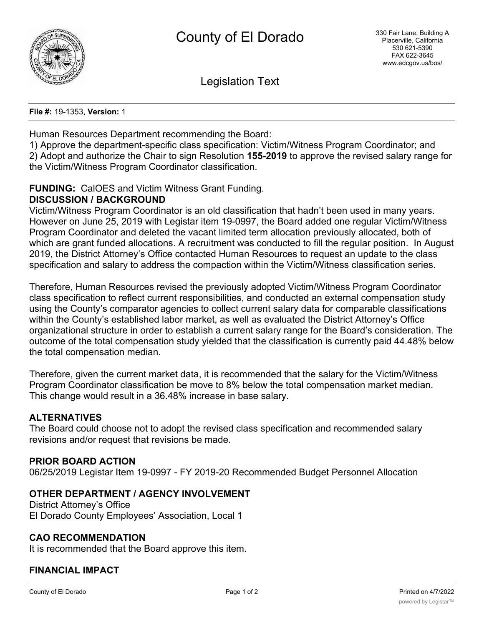

Legislation Text

**File #:** 19-1353, **Version:** 1

Human Resources Department recommending the Board:

1) Approve the department-specific class specification: Victim/Witness Program Coordinator; and 2) Adopt and authorize the Chair to sign Resolution **155-2019** to approve the revised salary range for the Victim/Witness Program Coordinator classification.

# **FUNDING:** CalOES and Victim Witness Grant Funding.

#### **DISCUSSION / BACKGROUND**

Victim/Witness Program Coordinator is an old classification that hadn't been used in many years. However on June 25, 2019 with Legistar item 19-0997, the Board added one regular Victim/Witness Program Coordinator and deleted the vacant limited term allocation previously allocated, both of which are grant funded allocations. A recruitment was conducted to fill the regular position. In August 2019, the District Attorney's Office contacted Human Resources to request an update to the class specification and salary to address the compaction within the Victim/Witness classification series.

Therefore, Human Resources revised the previously adopted Victim/Witness Program Coordinator class specification to reflect current responsibilities, and conducted an external compensation study using the County's comparator agencies to collect current salary data for comparable classifications within the County's established labor market, as well as evaluated the District Attorney's Office organizational structure in order to establish a current salary range for the Board's consideration. The outcome of the total compensation study yielded that the classification is currently paid 44.48% below the total compensation median.

Therefore, given the current market data, it is recommended that the salary for the Victim/Witness Program Coordinator classification be move to 8% below the total compensation market median. This change would result in a 36.48% increase in base salary.

#### **ALTERNATIVES**

The Board could choose not to adopt the revised class specification and recommended salary revisions and/or request that revisions be made.

#### **PRIOR BOARD ACTION**

06/25/2019 Legistar Item 19-0997 - FY 2019-20 Recommended Budget Personnel Allocation

#### **OTHER DEPARTMENT / AGENCY INVOLVEMENT**

District Attorney's Office El Dorado County Employees' Association, Local 1

#### **CAO RECOMMENDATION**

It is recommended that the Board approve this item.

#### **FINANCIAL IMPACT**